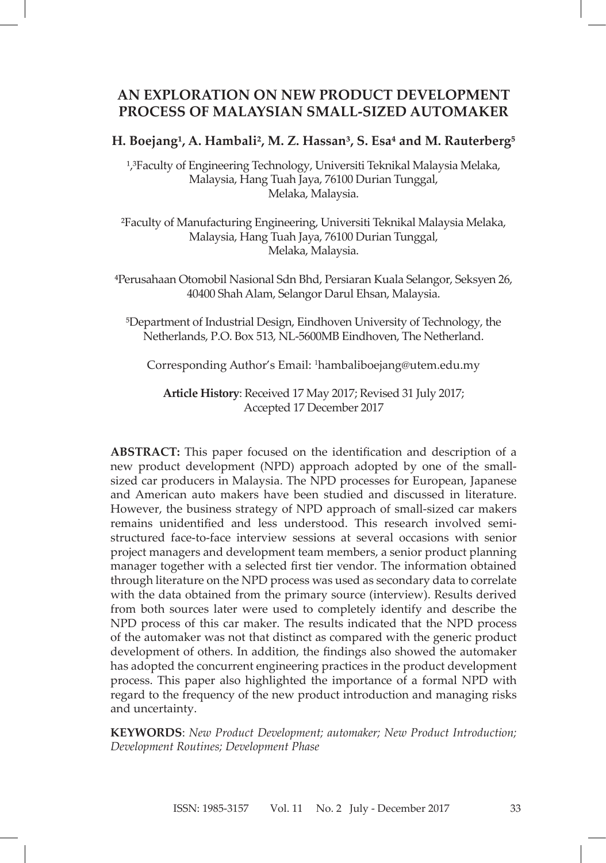## **AN EXPLORATION ON NEW PRODUCT DEVELOPMENT PROCESS OF MALAYSIAN SMALL-SIZED AUTOMAKER**

### H. Boejang<sup>1</sup>, A. Hambali<sup>2</sup>, M. Z. Hassan<sup>3</sup>, S. Esa<sup>4</sup> and M. Rauterberg<sup>5</sup>

<sup>1</sup>,<sup>3</sup>Faculty of Engineering Technology, Universiti Teknikal Malaysia Melaka, Malaysia, Hang Tuah Jaya, 76100 Durian Tunggal, Melaka, Malaysia.

²Faculty of Manufacturing Engineering, Universiti Teknikal Malaysia Melaka, Malaysia, Hang Tuah Jaya, 76100 Durian Tunggal, Melaka, Malaysia.

⁴Perusahaan Otomobil Nasional Sdn Bhd, Persiaran Kuala Selangor, Seksyen 26, 40400 Shah Alam, Selangor Darul Ehsan, Malaysia.

⁵Department of Industrial Design, Eindhoven University of Technology, the Netherlands, P.O. Box 513, NL-5600MB Eindhoven, The Netherland.

Corresponding Author's Email: <sup>1</sup> hambaliboejang@utem.edu.my

**Article History**: Received 17 May 2017; Revised 31 July 2017; Accepted 17 December 2017

**ABSTRACT:** This paper focused on the identification and description of a new product development (NPD) approach adopted by one of the smallsized car producers in Malaysia. The NPD processes for European, Japanese and American auto makers have been studied and discussed in literature. However, the business strategy of NPD approach of small-sized car makers remains unidentified and less understood. This research involved semistructured face-to-face interview sessions at several occasions with senior project managers and development team members, a senior product planning manager together with a selected first tier vendor. The information obtained through literature on the NPD process was used as secondary data to correlate with the data obtained from the primary source (interview). Results derived from both sources later were used to completely identify and describe the NPD process of this car maker. The results indicated that the NPD process of the automaker was not that distinct as compared with the generic product development of others. In addition, the findings also showed the automaker has adopted the concurrent engineering practices in the product development process. This paper also highlighted the importance of a formal NPD with regard to the frequency of the new product introduction and managing risks and uncertainty.

**KEYWORDS**: *New Product Development; automaker; New Product Introduction; Development Routines; Development Phase*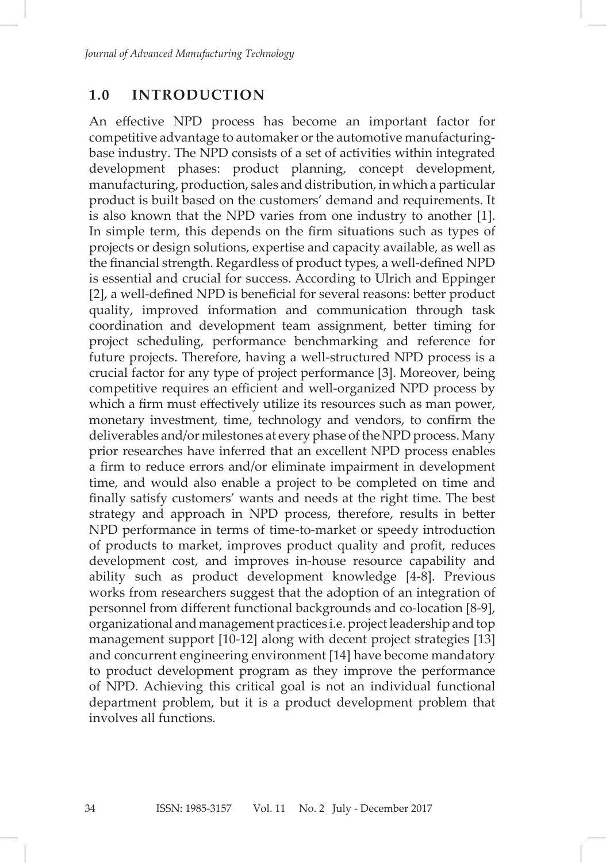## **1.0 INTRODUCTION**

An effective NPD process has become an important factor for competitive advantage to automaker or the automotive manufacturingbase industry. The NPD consists of a set of activities within integrated development phases: product planning, concept development, manufacturing, production, sales and distribution, in which a particular product is built based on the customers' demand and requirements. It is also known that the NPD varies from one industry to another [1]. In simple term, this depends on the firm situations such as types of projects or design solutions, expertise and capacity available, as well as the financial strength. Regardless of product types, a well-defined NPD is essential and crucial for success. According to Ulrich and Eppinger [2], a well-defined NPD is beneficial for several reasons: better product quality, improved information and communication through task coordination and development team assignment, better timing for project scheduling, performance benchmarking and reference for future projects. Therefore, having a well-structured NPD process is a crucial factor for any type of project performance [3]. Moreover, being competitive requires an efficient and well-organized NPD process by which a firm must effectively utilize its resources such as man power, monetary investment, time, technology and vendors, to confirm the deliverables and/or milestones at every phase of the NPD process. Many prior researches have inferred that an excellent NPD process enables a firm to reduce errors and/or eliminate impairment in development time, and would also enable a project to be completed on time and finally satisfy customers' wants and needs at the right time. The best strategy and approach in NPD process, therefore, results in better NPD performance in terms of time-to-market or speedy introduction of products to market, improves product quality and profit, reduces development cost, and improves in-house resource capability and ability such as product development knowledge [4-8]. Previous works from researchers suggest that the adoption of an integration of personnel from different functional backgrounds and co-location [8-9], organizational and management practices i.e. project leadership and top management support [10-12] along with decent project strategies [13] and concurrent engineering environment [14] have become mandatory to product development program as they improve the performance of NPD. Achieving this critical goal is not an individual functional department problem, but it is a product development problem that involves all functions.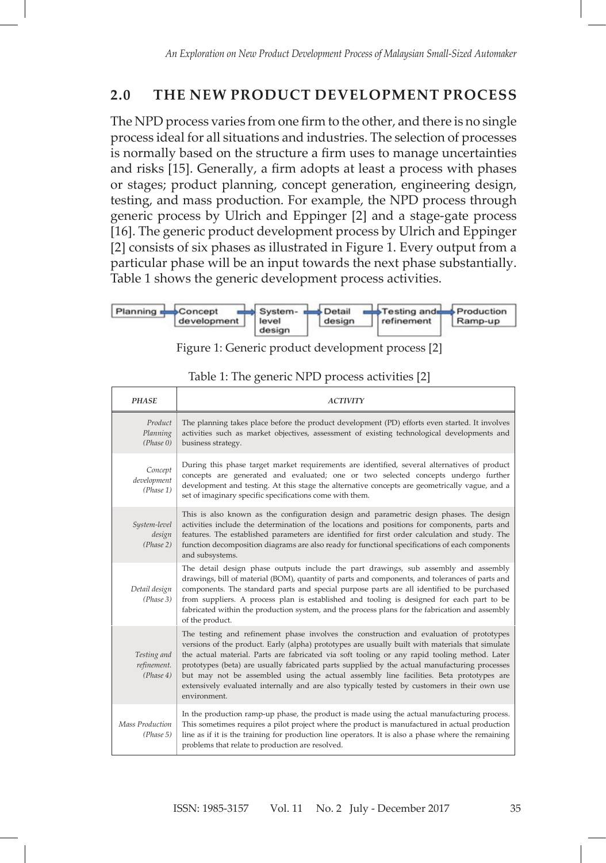# **2.0 THE NEW PRODUCT DEVELOPMENT PROCESS**

The NPD process varies from one firm to the other, and there is no single process ideal for all situations and industries. The selection of processes is normally based on the structure a firm uses to manage uncertainties and risks [15]. Generally, a firm adopts at least a process with phases or stages; product planning, concept generation, engineering design, testing, and mass production. For example, the NPD process through generic process by Ulrich and Eppinger [2] and a stage-gate process [16]. The generic product development process by Ulrich and Eppinger [2] consists of six phases as illustrated in Figure 1. Every output from a particular phase will be an input towards the next phase substantially. Table 1 shows the generic development process activities.



Figure 1: Generic product development process [2] Figure 1: Generic product development process [2] Figure 1: Generic product development process [2]

| <b>PHASE</b>                            | <b>ACTIVITY</b>                                                                                                                                                                                                                                                                                                                                                                                                                                                                                                                                                                                          |
|-----------------------------------------|----------------------------------------------------------------------------------------------------------------------------------------------------------------------------------------------------------------------------------------------------------------------------------------------------------------------------------------------------------------------------------------------------------------------------------------------------------------------------------------------------------------------------------------------------------------------------------------------------------|
| Product<br>Planning<br>(Phase 0)        | The planning takes place before the product development (PD) efforts even started. It involves<br>activities such as market objectives, assessment of existing technological developments and<br>business strategy.                                                                                                                                                                                                                                                                                                                                                                                      |
| Concept<br>development<br>(Phase 1)     | During this phase target market requirements are identified, several alternatives of product<br>concepts are generated and evaluated; one or two selected concepts undergo further<br>development and testing. At this stage the alternative concepts are geometrically vague, and a<br>set of imaginary specific specifications come with them.                                                                                                                                                                                                                                                         |
| System-level<br>design<br>(Phase 2)     | This is also known as the configuration design and parametric design phases. The design<br>activities include the determination of the locations and positions for components, parts and<br>features. The established parameters are identified for first order calculation and study. The<br>function decomposition diagrams are also ready for functional specifications of each components<br>and subsystems.                                                                                                                                                                                         |
| Detail design<br>(Phase 3)              | The detail design phase outputs include the part drawings, sub assembly and assembly<br>drawings, bill of material (BOM), quantity of parts and components, and tolerances of parts and<br>components. The standard parts and special purpose parts are all identified to be purchased<br>from suppliers. A process plan is established and tooling is designed for each part to be<br>fabricated within the production system, and the process plans for the fabrication and assembly<br>of the product.                                                                                                |
| Testing and<br>refinement.<br>(Phase 4) | The testing and refinement phase involves the construction and evaluation of prototypes<br>versions of the product. Early (alpha) prototypes are usually built with materials that simulate<br>the actual material. Parts are fabricated via soft tooling or any rapid tooling method. Later<br>prototypes (beta) are usually fabricated parts supplied by the actual manufacturing processes<br>but may not be assembled using the actual assembly line facilities. Beta prototypes are<br>extensively evaluated internally and are also typically tested by customers in their own use<br>environment. |
| Mass Production<br>(Phase 5)            | In the production ramp-up phase, the product is made using the actual manufacturing process.<br>This sometimes requires a pilot project where the product is manufactured in actual production<br>line as if it is the training for production line operators. It is also a phase where the remaining<br>problems that relate to production are resolved.                                                                                                                                                                                                                                                |

Table 1: The generic NPD process activities [2] Table 1: The generic NPD process activities [2] Table 1: The generic NPD process activities [2]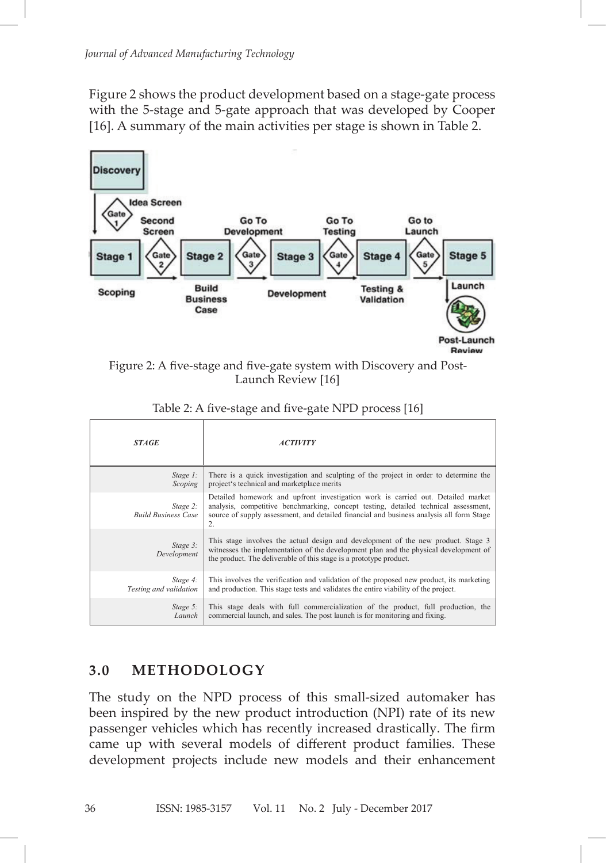Figure 2 shows the product development based on a stage-gate process with the 5-stage and 5-gate approach that was developed by Cooper [16]. A summary of the main activities per stage is shown in Table 2.



Figure 2: A five-stage and five-gate system with Discovery and Post-Launch Review [16]

| <b>STAGE</b>                           | <i><b>ACTIVITY</b></i>                                                                                                                                                                                                                                                    |
|----------------------------------------|---------------------------------------------------------------------------------------------------------------------------------------------------------------------------------------------------------------------------------------------------------------------------|
| $Stage 1$ :                            | There is a quick investigation and sculpting of the project in order to determine the                                                                                                                                                                                     |
| Scoping                                | project's technical and marketplace merits                                                                                                                                                                                                                                |
| Stage 2:<br><b>Build Business Case</b> | Detailed homework and upfront investigation work is carried out. Detailed market<br>analysis, competitive benchmarking, concept testing, detailed technical assessment,<br>source of supply assessment, and detailed financial and business analysis all form Stage<br>2. |
| Stage 3:<br>Development                | This stage involves the actual design and development of the new product. Stage 3<br>witnesses the implementation of the development plan and the physical development of<br>the product. The deliverable of this stage is a prototype product.                           |
| Stage 4:                               | This involves the verification and validation of the proposed new product, its marketing                                                                                                                                                                                  |
| Testing and validation                 | and production. This stage tests and validates the entire viability of the project.                                                                                                                                                                                       |
| Stage 5:                               | This stage deals with full commercialization of the product, full production, the                                                                                                                                                                                         |
| Launch                                 | commercial launch, and sales. The post launch is for monitoring and fixing.                                                                                                                                                                                               |

| Table 2: A five-stage and five-gate NPD process [16] |  |  |
|------------------------------------------------------|--|--|
|                                                      |  |  |

#### The study on the NPD process of this small-sized automaker has been inspired by the **3.0 METHODOLOGY 3.0 METHODOLOGY**  $T_{\text{max}}$  studies on the NPD process of this small-size  $\frac{1}{2}$

new product introduction (NPI) rate of its new passenger vehicles which has recently The study on the NPD process of this small-sized automaker has families. The state of the first process of this small sheet date introduction (NPI) and the first product introduction (NPI) rate of its new passenger vehicles which has recently increased drastically. The firm  $t_{\rm{c}}$  increase with some models of different product families. These came up with several models of different product families. These development projects include new models and their enhancement been inspired by the new product introduction (NPI) rate of its new  $\mathbf{I}$  and  $\mathbf{I}$  and  $\mathbf{I}$  and  $\mathbf{I}$  and  $\mathbf{I}$  and  $\mathbf{I}$  and  $\mathbf{I}$  and  $\mathbf{I}$  are previously system as previously system as previously system as previously system as previously system as previously s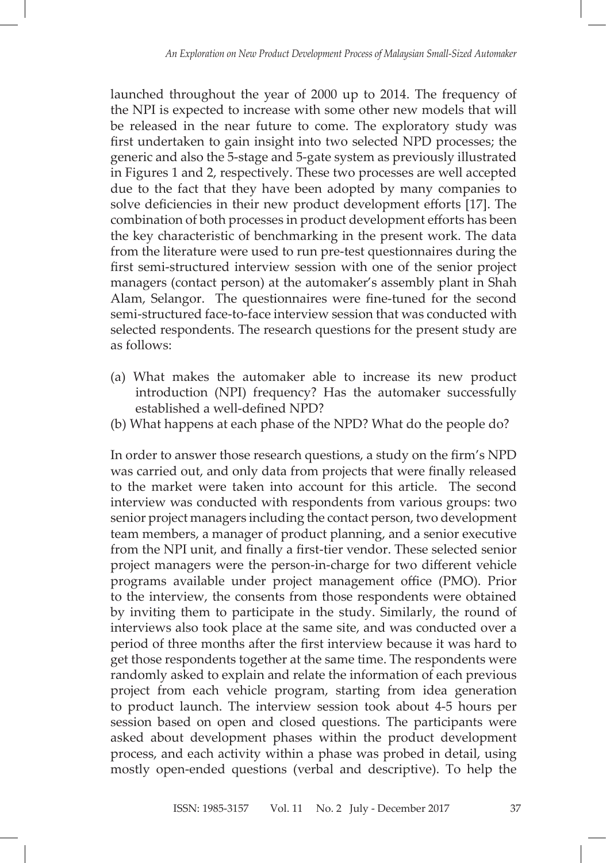launched throughout the year of 2000 up to 2014. The frequency of the NPI is expected to increase with some other new models that will be released in the near future to come. The exploratory study was first undertaken to gain insight into two selected NPD processes; the generic and also the 5-stage and 5-gate system as previously illustrated in Figures 1 and 2, respectively. These two processes are well accepted due to the fact that they have been adopted by many companies to solve deficiencies in their new product development efforts [17]. The combination of both processes in product development efforts has been the key characteristic of benchmarking in the present work. The data from the literature were used to run pre-test questionnaires during the first semi-structured interview session with one of the senior project managers (contact person) at the automaker's assembly plant in Shah Alam, Selangor. The questionnaires were fine-tuned for the second semi-structured face-to-face interview session that was conducted with selected respondents. The research questions for the present study are as follows:

- (a) What makes the automaker able to increase its new product introduction (NPI) frequency? Has the automaker successfully established a well-defined NPD?
- (b) What happens at each phase of the NPD? What do the people do?

In order to answer those research questions, a study on the firm's NPD was carried out, and only data from projects that were finally released to the market were taken into account for this article. The second interview was conducted with respondents from various groups: two senior project managers including the contact person, two development team members, a manager of product planning, and a senior executive from the NPI unit, and finally a first-tier vendor. These selected senior project managers were the person-in-charge for two different vehicle programs available under project management office (PMO). Prior to the interview, the consents from those respondents were obtained by inviting them to participate in the study. Similarly, the round of interviews also took place at the same site, and was conducted over a period of three months after the first interview because it was hard to get those respondents together at the same time. The respondents were randomly asked to explain and relate the information of each previous project from each vehicle program, starting from idea generation to product launch. The interview session took about 4-5 hours per session based on open and closed questions. The participants were asked about development phases within the product development process, and each activity within a phase was probed in detail, using mostly open-ended questions (verbal and descriptive). To help the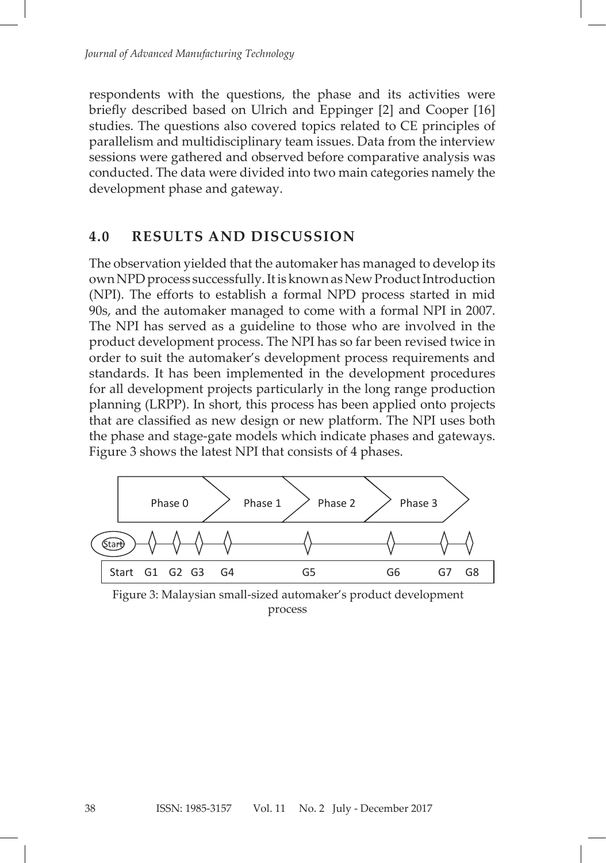respondents with the questions, the phase and its activities were briefly described based on Ulrich and Eppinger [2] and Cooper [16] studies. The questions also covered topics related to CE principles of parallelism and multidisciplinary team issues. Data from the interview sessions were gathered and observed before comparative analysis was conducted. The data were divided into two main categories namely the development phase and gateway.

### **4.0 RESULTS AND DISCUSSION**

The observation yielded that the automaker has managed to develop its own NPD process successfully. It is known as New Product Introduction (NPI). The efforts to establish a formal NPD process started in mid 90s, and the automaker managed to come with a formal NPI in 2007. The NPI has served as a guideline to those who are involved in the product development process. The NPI has so far been revised twice in order to suit the automaker's development process requirements and standards. It has been implemented in the development procedures for all development projects particularly in the long range production planning (LRPP). In short, this process has been applied onto projects platting (211 ), in short, and process has been applied onto projects that are classified as new design or new platform. The NPI uses both the phase and stage-gate models which indicate phases and gateways. Figure 3 shows the latest NPI that consists of 4 phases.  $\frac{3}{2}$  shows the latest  $\frac{3}{2}$  of  $\frac{1}{2}$  phases. The constant constant consists of  $\frac{1}{2}$  phases.



 $P$ iocess Figure 3: Malaysian small-sized automaker's product development process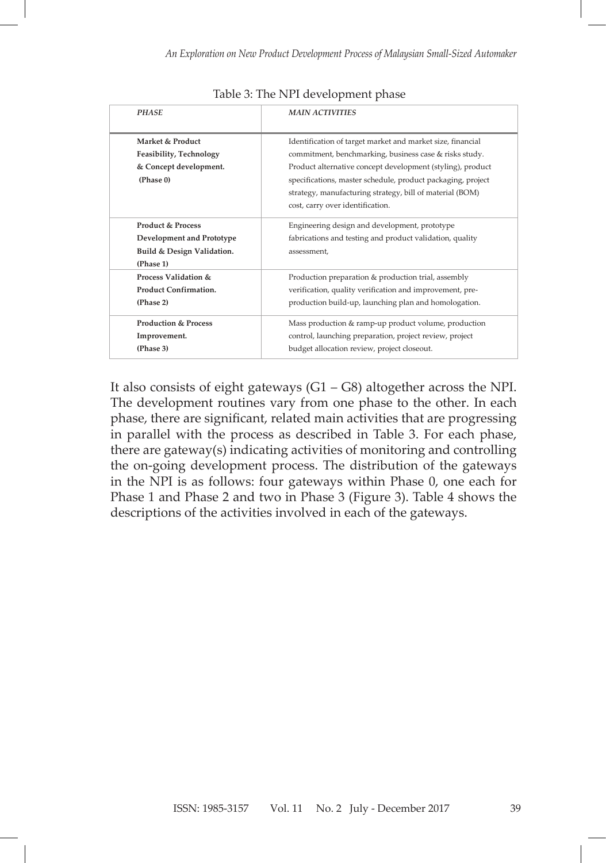| <b>PHASE</b>                                                                                         | <b>MAIN ACTIVITIES</b>                                                                                                                                                                                                                                                                                                                            |
|------------------------------------------------------------------------------------------------------|---------------------------------------------------------------------------------------------------------------------------------------------------------------------------------------------------------------------------------------------------------------------------------------------------------------------------------------------------|
| Market & Product<br>Feasibility, Technology<br>& Concept development.<br>(Phase 0)                   | Identification of target market and market size, financial<br>commitment, benchmarking, business case & risks study.<br>Product alternative concept development (styling), product<br>specifications, master schedule, product packaging, project<br>strategy, manufacturing strategy, bill of material (BOM)<br>cost, carry over identification. |
| <b>Product &amp; Process</b><br>Development and Prototype<br>Build & Design Validation.<br>(Phase 1) | Engineering design and development, prototype<br>fabrications and testing and product validation, quality<br>assessment,                                                                                                                                                                                                                          |
| Process Validation &<br><b>Product Confirmation.</b><br>(Phase 2)                                    | Production preparation & production trial, assembly<br>verification, quality verification and improvement, pre-<br>production build-up, launching plan and homologation.                                                                                                                                                                          |
| <b>Production &amp; Process</b><br>Improvement.<br>(Phase 3)                                         | Mass production & ramp-up product volume, production<br>control, launching preparation, project review, project<br>budget allocation review, project closeout.                                                                                                                                                                                    |

It also consists of eight gateways  $(G1 – G8)$  altogether across the NPI. The development routines vary from one phase to the other. In each phase, there are significant, related main activities that are progressing in parallel with the process as described in Table 3. For each phase,  $t_{\text{base}}$  one-gotoways indicating optivities of menitoring and controlling there are gateway(s) indicating activities of monitoring and controlling the on-going development process. The distribution of the gateways in the NPI is as follows: four gateways within Phase 0, one each for Phase 1 and Phase 2 and two in Phase 3 (Figure 3). Table 4 shows the descriptions of the activities involved in each of the gateways.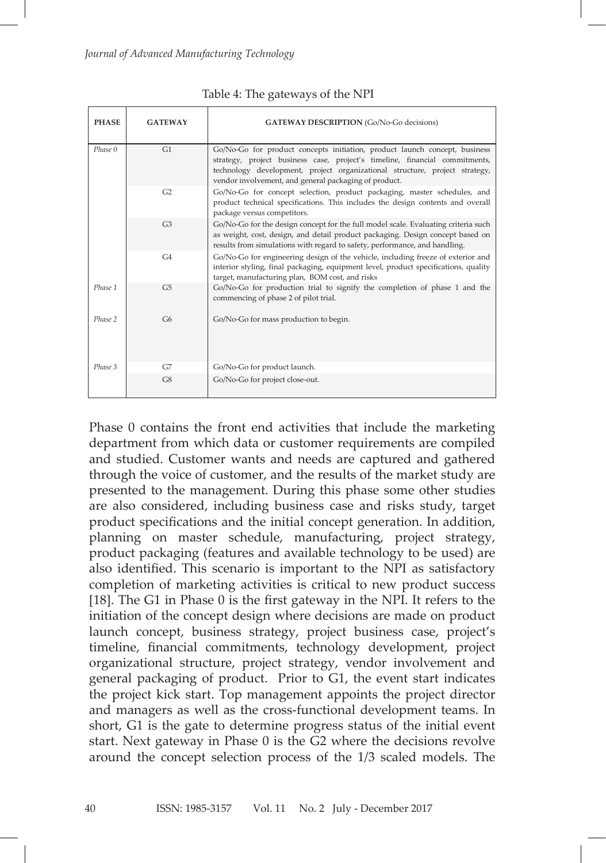| <b>PHASE</b> | <b>GATEWAY</b> | <b>GATEWAY DESCRIPTION</b> (Go/No-Go decisions)                                                                                                                                                                                                                                                   |
|--------------|----------------|---------------------------------------------------------------------------------------------------------------------------------------------------------------------------------------------------------------------------------------------------------------------------------------------------|
| Phase 0      | G1             | Go/No-Go for product concepts initiation, product launch concept, business<br>strategy, project business case, project's timeline, financial commitments,<br>technology development, project organizational structure, project strategy,<br>vendor involvement, and general packaging of product. |
|              | G2             | Go/No-Go for concept selection, product packaging, master schedules, and<br>product technical specifications. This includes the design contents and overall<br>package versus competitors.                                                                                                        |
|              | G <sub>3</sub> | Go/No-Go for the design concept for the full model scale. Evaluating criteria such<br>as weight, cost, design, and detail product packaging. Design concept based on<br>results from simulations with regard to safety, performance, and handling.                                                |
|              | G4             | Go/No-Go for engineering design of the vehicle, including freeze of exterior and<br>interior styling, final packaging, equipment level, product specifications, quality<br>target, manufacturing plan, BOM cost, and risks                                                                        |
| Phase 1      | G <sub>5</sub> | Go/No-Go for production trial to signify the completion of phase 1 and the<br>commencing of phase 2 of pilot trial.                                                                                                                                                                               |
| Phase 2      | G6             | Go/No-Go for mass production to begin.                                                                                                                                                                                                                                                            |
| Phase 3      | G7             | Go/No-Go for product launch.                                                                                                                                                                                                                                                                      |
|              | G8             | Go/No-Go for project close-out.                                                                                                                                                                                                                                                                   |

Table 4: The gateways of the NPI

Phase 0 contains the front end activities that include the marketing department from which data or customer requirements are compiled and studied. Customer wants and needs are captured and gathered through the voice of customer, and the results of the market study are are also considered, including business case and risks study, the risks study, the presented to the management. During this phase some other studies are also considered, including business case and risks study, target product specifications and the initial concept generation. In addition, planning on master schedule, manufacturing, project strategy, planting on master generate, manufacturing, project structs, product packaging (features and available technology to be used) are also identified. This scenario is important to the NPI as satisfactory completion of marketing activities is critical to new product success [18]. The G1 in Phase 0 is the first gateway in the NPI. It refers to the  $m_{\rm B}$  managers approximate approximate  $m_{\rm B}$  and  $m_{\rm B}$  are cross-functional managers as  $m_{\rm B}$ initiation of the concept design where decisions are made on product launch concept, business strategy, project business case, project's timeline, financial commitments, technology development, project organizational structure, project strategy, vendor involvement and issue and the appropriate product packaging as well as the master schedule. Finally, general packaging of product. Prior to G1, the event start indicates the project kick start. Top management appoints the project director and managers as well as the cross-functional development teams. In short, G1 is the gate to determine progress status of the initial event start. Next gateway in Phase 0 is the G2 where the decisions revolve around the concept selection process of the 1/3 scaled models. The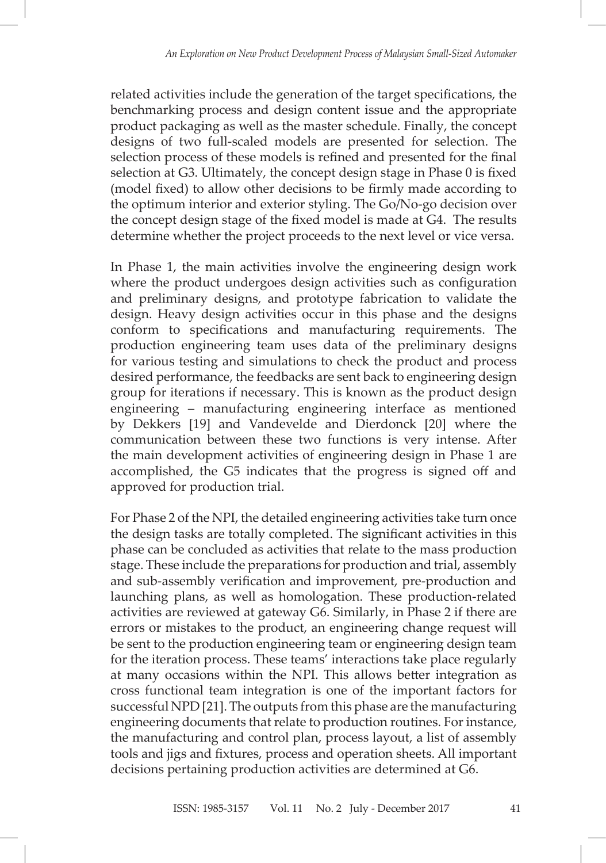related activities include the generation of the target specifications, the benchmarking process and design content issue and the appropriate product packaging as well as the master schedule. Finally, the concept designs of two full-scaled models are presented for selection. The selection process of these models is refined and presented for the final selection at G3. Ultimately, the concept design stage in Phase 0 is fixed (model fixed) to allow other decisions to be firmly made according to the optimum interior and exterior styling. The Go/No-go decision over the concept design stage of the fixed model is made at G4. The results determine whether the project proceeds to the next level or vice versa.

In Phase 1, the main activities involve the engineering design work where the product undergoes design activities such as configuration and preliminary designs, and prototype fabrication to validate the design. Heavy design activities occur in this phase and the designs conform to specifications and manufacturing requirements. The production engineering team uses data of the preliminary designs for various testing and simulations to check the product and process desired performance, the feedbacks are sent back to engineering design group for iterations if necessary. This is known as the product design engineering – manufacturing engineering interface as mentioned by Dekkers [19] and Vandevelde and Dierdonck [20] where the communication between these two functions is very intense. After the main development activities of engineering design in Phase 1 are accomplished, the G5 indicates that the progress is signed off and approved for production trial.

For Phase 2 of the NPI, the detailed engineering activities take turn once the design tasks are totally completed. The significant activities in this phase can be concluded as activities that relate to the mass production stage. These include the preparations for production and trial, assembly and sub-assembly verification and improvement, pre-production and launching plans, as well as homologation. These production-related activities are reviewed at gateway G6. Similarly, in Phase 2 if there are errors or mistakes to the product, an engineering change request will be sent to the production engineering team or engineering design team for the iteration process. These teams' interactions take place regularly at many occasions within the NPI. This allows better integration as cross functional team integration is one of the important factors for successful NPD [21]. The outputs from this phase are the manufacturing engineering documents that relate to production routines. For instance, the manufacturing and control plan, process layout, a list of assembly tools and jigs and fixtures, process and operation sheets. All important decisions pertaining production activities are determined at G6.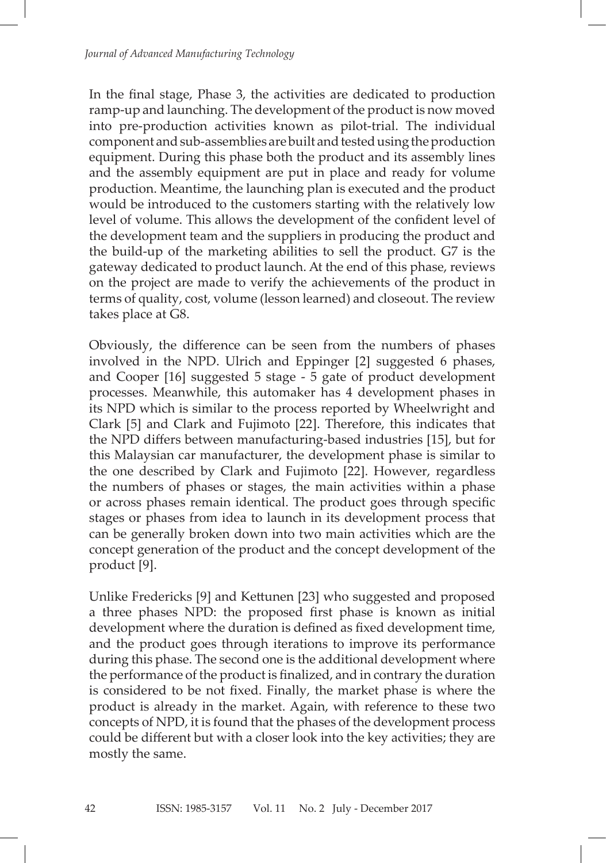In the final stage, Phase 3, the activities are dedicated to production ramp-up and launching. The development of the product is now moved into pre-production activities known as pilot-trial. The individual component and sub-assemblies are built and tested using the production equipment. During this phase both the product and its assembly lines and the assembly equipment are put in place and ready for volume production. Meantime, the launching plan is executed and the product would be introduced to the customers starting with the relatively low level of volume. This allows the development of the confident level of the development team and the suppliers in producing the product and the build-up of the marketing abilities to sell the product. G7 is the gateway dedicated to product launch. At the end of this phase, reviews on the project are made to verify the achievements of the product in terms of quality, cost, volume (lesson learned) and closeout. The review takes place at G8.

Obviously, the difference can be seen from the numbers of phases involved in the NPD. Ulrich and Eppinger [2] suggested 6 phases, and Cooper [16] suggested 5 stage - 5 gate of product development processes. Meanwhile, this automaker has 4 development phases in its NPD which is similar to the process reported by Wheelwright and Clark [5] and Clark and Fujimoto [22]. Therefore, this indicates that the NPD differs between manufacturing-based industries [15], but for this Malaysian car manufacturer, the development phase is similar to the one described by Clark and Fujimoto [22]. However, regardless the numbers of phases or stages, the main activities within a phase or across phases remain identical. The product goes through specific stages or phases from idea to launch in its development process that can be generally broken down into two main activities which are the concept generation of the product and the concept development of the product [9].

Unlike Fredericks [9] and Kettunen [23] who suggested and proposed a three phases NPD: the proposed first phase is known as initial development where the duration is defined as fixed development time, and the product goes through iterations to improve its performance during this phase. The second one is the additional development where the performance of the product is finalized, and in contrary the duration is considered to be not fixed. Finally, the market phase is where the product is already in the market. Again, with reference to these two concepts of NPD, it is found that the phases of the development process could be different but with a closer look into the key activities; they are mostly the same.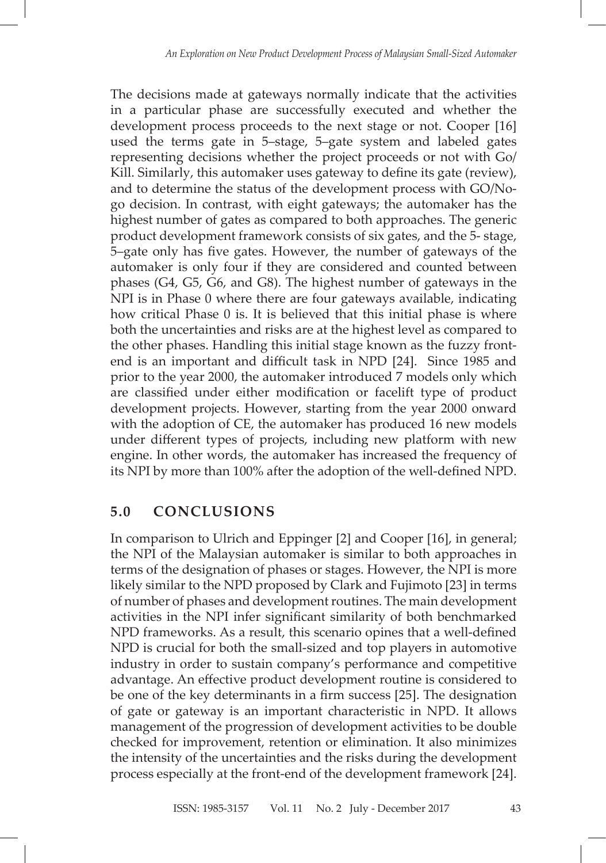The decisions made at gateways normally indicate that the activities in a particular phase are successfully executed and whether the development process proceeds to the next stage or not. Cooper [16] used the terms gate in 5–stage, 5–gate system and labeled gates representing decisions whether the project proceeds or not with Go/ Kill. Similarly, this automaker uses gateway to define its gate (review), and to determine the status of the development process with GO/Nogo decision. In contrast, with eight gateways; the automaker has the highest number of gates as compared to both approaches. The generic product development framework consists of six gates, and the 5- stage, 5–gate only has five gates. However, the number of gateways of the automaker is only four if they are considered and counted between phases (G4, G5, G6, and G8). The highest number of gateways in the NPI is in Phase 0 where there are four gateways available, indicating how critical Phase 0 is. It is believed that this initial phase is where both the uncertainties and risks are at the highest level as compared to the other phases. Handling this initial stage known as the fuzzy frontend is an important and difficult task in NPD [24]. Since 1985 and prior to the year 2000, the automaker introduced 7 models only which are classified under either modification or facelift type of product development projects. However, starting from the year 2000 onward with the adoption of CE, the automaker has produced 16 new models under different types of projects, including new platform with new engine. In other words, the automaker has increased the frequency of its NPI by more than 100% after the adoption of the well-defined NPD.

## **5.0 CONCLUSIONS**

In comparison to Ulrich and Eppinger [2] and Cooper [16], in general; the NPI of the Malaysian automaker is similar to both approaches in terms of the designation of phases or stages. However, the NPI is more likely similar to the NPD proposed by Clark and Fujimoto [23] in terms of number of phases and development routines. The main development activities in the NPI infer significant similarity of both benchmarked NPD frameworks. As a result, this scenario opines that a well-defined NPD is crucial for both the small-sized and top players in automotive industry in order to sustain company's performance and competitive advantage. An effective product development routine is considered to be one of the key determinants in a firm success [25]. The designation of gate or gateway is an important characteristic in NPD. It allows management of the progression of development activities to be double checked for improvement, retention or elimination. It also minimizes the intensity of the uncertainties and the risks during the development process especially at the front-end of the development framework [24].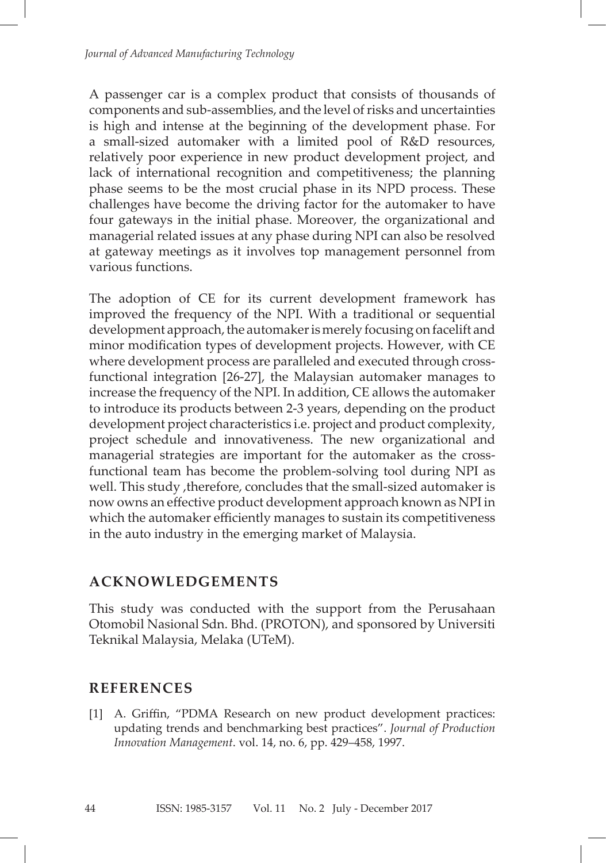A passenger car is a complex product that consists of thousands of components and sub-assemblies, and the level of risks and uncertainties is high and intense at the beginning of the development phase. For a small-sized automaker with a limited pool of R&D resources, relatively poor experience in new product development project, and lack of international recognition and competitiveness; the planning phase seems to be the most crucial phase in its NPD process. These challenges have become the driving factor for the automaker to have four gateways in the initial phase. Moreover, the organizational and managerial related issues at any phase during NPI can also be resolved at gateway meetings as it involves top management personnel from various functions.

The adoption of CE for its current development framework has improved the frequency of the NPI. With a traditional or sequential development approach, the automaker is merely focusing on facelift and minor modification types of development projects. However, with CE where development process are paralleled and executed through crossfunctional integration [26-27], the Malaysian automaker manages to increase the frequency of the NPI. In addition, CE allows the automaker to introduce its products between 2-3 years, depending on the product development project characteristics i.e. project and product complexity, project schedule and innovativeness. The new organizational and managerial strategies are important for the automaker as the crossfunctional team has become the problem-solving tool during NPI as well. This study ,therefore, concludes that the small-sized automaker is now owns an effective product development approach known as NPI in which the automaker efficiently manages to sustain its competitiveness in the auto industry in the emerging market of Malaysia.

### **ACKNOWLEDGEMENTS**

This study was conducted with the support from the Perusahaan Otomobil Nasional Sdn. Bhd. (PROTON), and sponsored by Universiti Teknikal Malaysia, Melaka (UTeM).

### **REFERENCES**

44

[1] A. Griffin, "PDMA Research on new product development practices: updating trends and benchmarking best practices". *Journal of Production Innovation Management*. vol. 14, no. 6, pp. 429–458, 1997.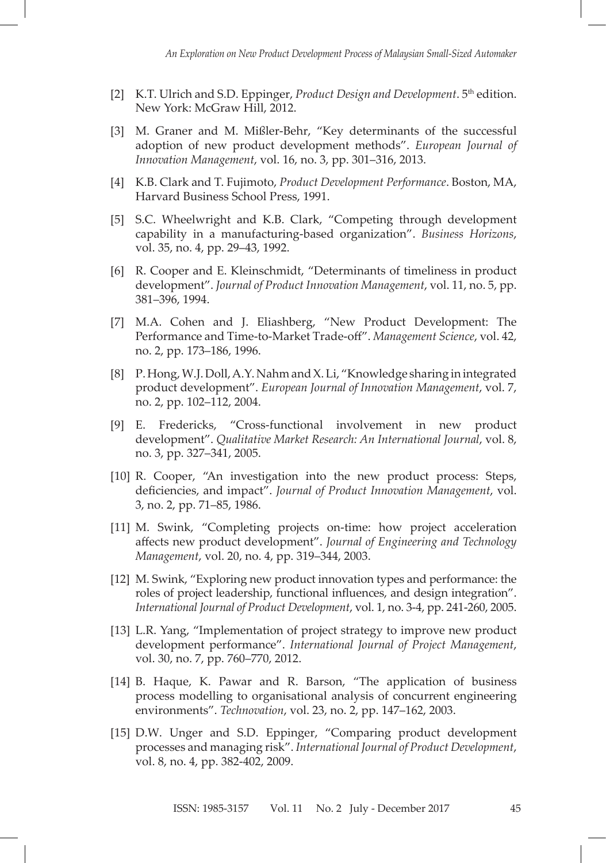- [2] K.T. Ulrich and S.D. Eppinger, *Product Design and Development*. 5<sup>th</sup> edition. New York: McGraw Hill, 2012.
- [3] M. Graner and M. Mißler-Behr, "Key determinants of the successful adoption of new product development methods". *European Journal of Innovation Management*, vol. 16, no. 3, pp. 301–316, 2013.
- [4] K.B. Clark and T. Fujimoto, *Product Development Performance*. Boston, MA, Harvard Business School Press, 1991.
- [5] S.C. Wheelwright and K.B. Clark, "Competing through development capability in a manufacturing-based organization". *Business Horizons*, vol. 35, no. 4, pp. 29–43, 1992.
- [6] R. Cooper and E. Kleinschmidt, "Determinants of timeliness in product development". *Journal of Product Innovation Management*, vol. 11, no. 5, pp. 381–396, 1994.
- [7] M.A. Cohen and J. Eliashberg, "New Product Development: The Performance and Time-to-Market Trade-off". *Management Science*, vol. 42, no. 2, pp. 173–186, 1996.
- [8] P. Hong, W.J. Doll, A.Y. Nahm and X. Li, "Knowledge sharing in integrated product development". *European Journal of Innovation Management*, vol. 7, no. 2, pp. 102–112, 2004.
- [9] E. Fredericks, "Cross‐functional involvement in new product development". *Qualitative Market Research: An International Journal*, vol. 8, no. 3, pp. 327–341, 2005.
- [10] R. Cooper, "An investigation into the new product process: Steps, deficiencies, and impact". *Journal of Product Innovation Management*, vol. 3, no. 2, pp. 71–85, 1986.
- [11] M. Swink, "Completing projects on-time: how project acceleration affects new product development". *Journal of Engineering and Technology Management*, vol. 20, no. 4, pp. 319–344, 2003.
- [12] M. Swink, "Exploring new product innovation types and performance: the roles of project leadership, functional influences, and design integration". *International Journal of Product Development*, vol. 1, no. 3-4, pp. 241-260, 2005.
- [13] L.R. Yang, "Implementation of project strategy to improve new product development performance". *International Journal of Project Management*, vol. 30, no. 7, pp. 760–770, 2012.
- [14] B. Haque, K. Pawar and R. Barson, "The application of business process modelling to organisational analysis of concurrent engineering environments". *Technovation*, vol. 23, no. 2, pp. 147–162, 2003.
- [15] D.W. Unger and S.D. Eppinger, "Comparing product development processes and managing risk". *International Journal of Product Development*, vol. 8, no. 4, pp. 382-402, 2009.